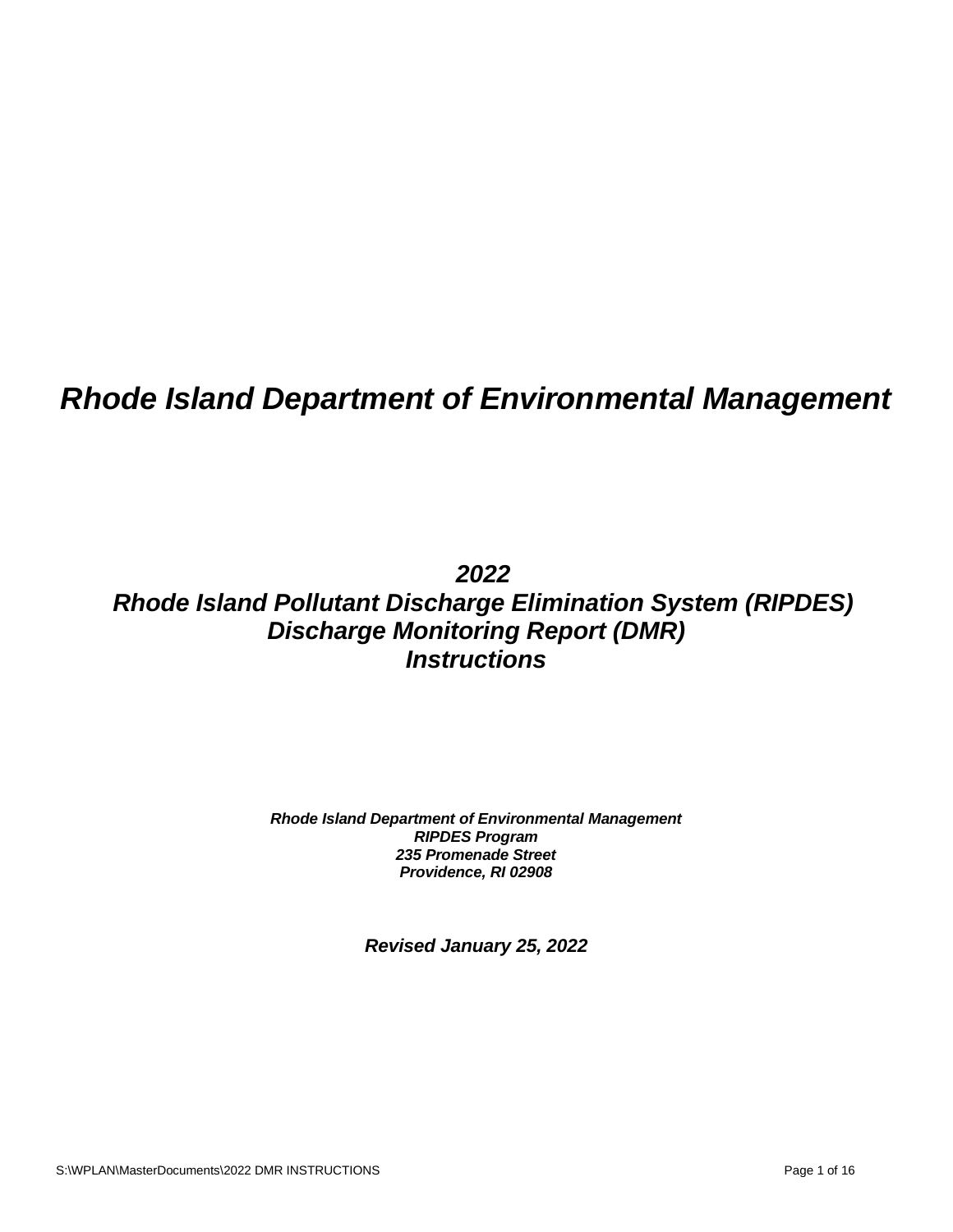# *Rhode Island Department of Environmental Management*

## *2022 Rhode Island Pollutant Discharge Elimination System (RIPDES) Discharge Monitoring Report (DMR) Instructions*

*Rhode Island Department of Environmental Management RIPDES Program 235 Promenade Street Providence, RI 02908*

*Revised January 25, 2022*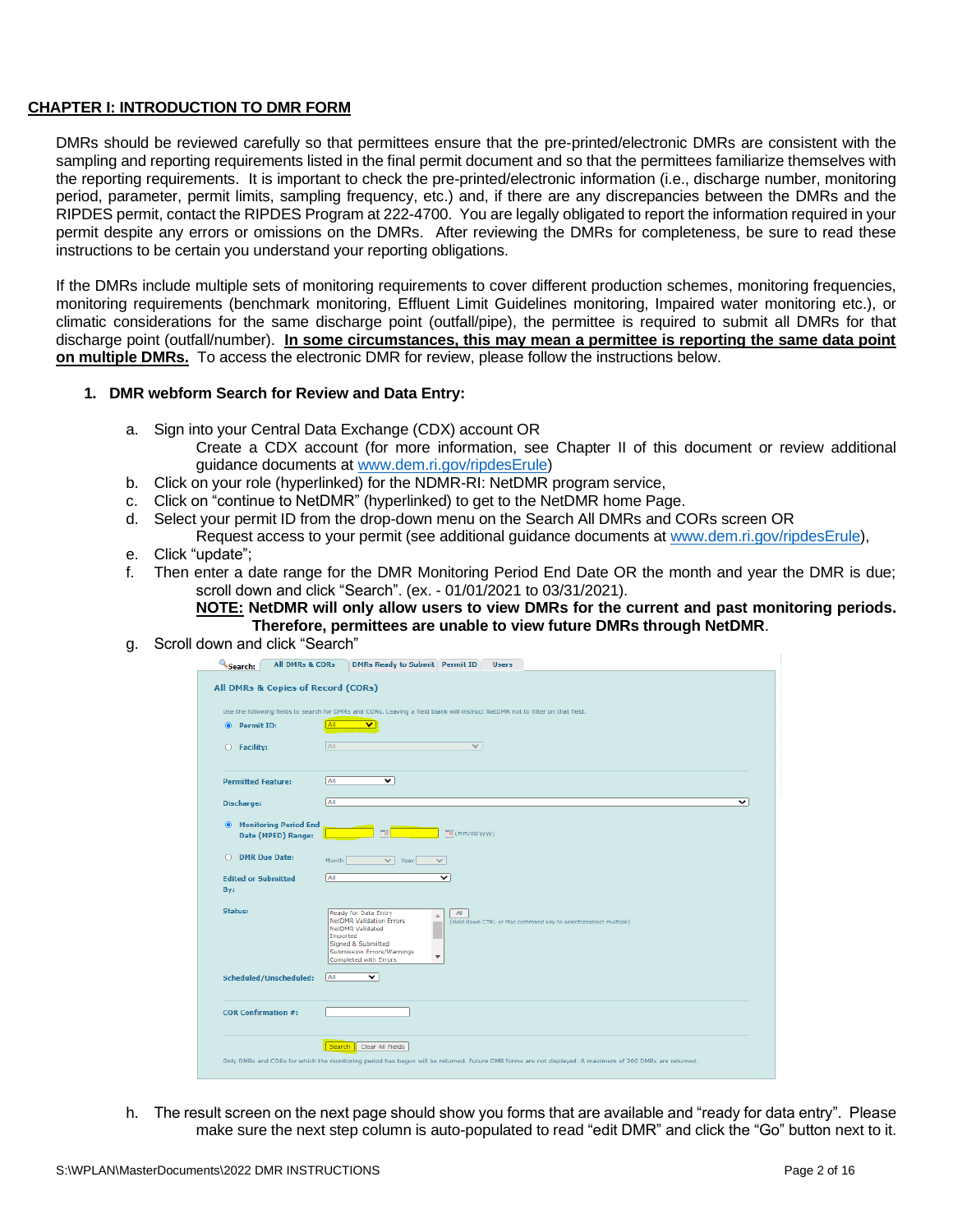#### **CHAPTER I: INTRODUCTION TO DMR FORM**

DMRs should be reviewed carefully so that permittees ensure that the pre-printed/electronic DMRs are consistent with the sampling and reporting requirements listed in the final permit document and so that the permittees familiarize themselves with the reporting requirements. It is important to check the pre-printed/electronic information (i.e., discharge number, monitoring period, parameter, permit limits, sampling frequency, etc.) and, if there are any discrepancies between the DMRs and the RIPDES permit, contact the RIPDES Program at 222-4700. You are legally obligated to report the information required in your permit despite any errors or omissions on the DMRs. After reviewing the DMRs for completeness, be sure to read these instructions to be certain you understand your reporting obligations.

If the DMRs include multiple sets of monitoring requirements to cover different production schemes, monitoring frequencies, monitoring requirements (benchmark monitoring, Effluent Limit Guidelines monitoring, Impaired water monitoring etc.), or climatic considerations for the same discharge point (outfall/pipe), the permittee is required to submit all DMRs for that discharge point (outfall/number). **In some circumstances, this may mean a permittee is reporting the same data point on multiple DMRs.** To access the electronic DMR for review, please follow the instructions below.

#### **1. DMR webform Search for Review and Data Entry:**

- a. Sign into your Central Data Exchange (CDX) account OR
	- Create a CDX account (for more information, see Chapter II of this document or review additional guidance documents at [www.dem.ri.gov/ripdesErule\)](http://www.dem.ri.gov/ripdesErule)
- b. Click on your role (hyperlinked) for the NDMR-RI: NetDMR program service,
- c. Click on "continue to NetDMR" (hyperlinked) to get to the NetDMR home Page.
- d. Select your permit ID from the drop-down menu on the Search All DMRs and CORs screen OR
- Request access to your permit (see additional guidance documents at [www.dem.ri.gov/ripdesErule\)](http://www.dem.ri.gov/ripdesErule),
- e. Click "update";
- f. Then enter a date range for the DMR Monitoring Period End Date OR the month and year the DMR is due; scroll down and click "Search". (ex. - 01/01/2021 to 03/31/2021).

**NOTE: NetDMR will only allow users to view DMRs for the current and past monitoring periods. Therefore, permittees are unable to view future DMRs through NetDMR**.

g. Scroll down and click "Search"

| Search:<br>All DMRs & CORs                                      | <b>DMRs Ready to Submit   Permit ID</b><br><b>Users</b>                                                                                                                                                                                                                                          |
|-----------------------------------------------------------------|--------------------------------------------------------------------------------------------------------------------------------------------------------------------------------------------------------------------------------------------------------------------------------------------------|
| All DMRs & Copies of Record (CORs)                              |                                                                                                                                                                                                                                                                                                  |
|                                                                 | Use the following fields to search for DMRs and CORs. Leaving a field blank will instruct NetDMR not to filter on that field.                                                                                                                                                                    |
| <b>Permit ID:</b><br>$\bullet$                                  | ΛIΙ<br>v                                                                                                                                                                                                                                                                                         |
| $O$ Facility:                                                   | All<br>✓                                                                                                                                                                                                                                                                                         |
| <b>Permitted Feature:</b>                                       | All<br>▽                                                                                                                                                                                                                                                                                         |
| <b>Discharge:</b>                                               | All<br>◡                                                                                                                                                                                                                                                                                         |
| <b>Monitoring Period End</b><br>$\bullet$<br>Date (MPED) Range: | $\overline{\Box a}$ (mm/dd/yyyy)                                                                                                                                                                                                                                                                 |
| <b>DMR</b> Due Date:<br>O.                                      | Month<br>$\vee$ Year<br>$\checkmark$                                                                                                                                                                                                                                                             |
| <b>Edited or Submitted</b><br>By:                               | <b>All</b><br>◡                                                                                                                                                                                                                                                                                  |
| <b>Status:</b>                                                  | Ready for Data Entry<br>$\mathbf{A}$<br>盀<br><b>NetDMR Validation Errors</b><br>(Hold down CTRL or Mac command key to select/deselect multiple).<br><b>NetDMR Validated</b><br>Imported<br>Signed & Submitted<br>Submission Errors/Warnings<br>$\overline{\phantom{a}}$<br>Completed with Errors |
| Scheduled/Unscheduled:                                          | All<br>$\overline{\mathsf{v}}$                                                                                                                                                                                                                                                                   |
| <b>COR Confirmation #:</b>                                      |                                                                                                                                                                                                                                                                                                  |
|                                                                 | Search   Clear All Fields<br>Only DMRs and CORs for which the monitoring period has begun will be returned. Future DMR forms are not displayed. A maximum of 200 DMRs are returned.                                                                                                              |
|                                                                 |                                                                                                                                                                                                                                                                                                  |

h. The result screen on the next page should show you forms that are available and "ready for data entry". Please make sure the next step column is auto-populated to read "edit DMR" and click the "Go" button next to it.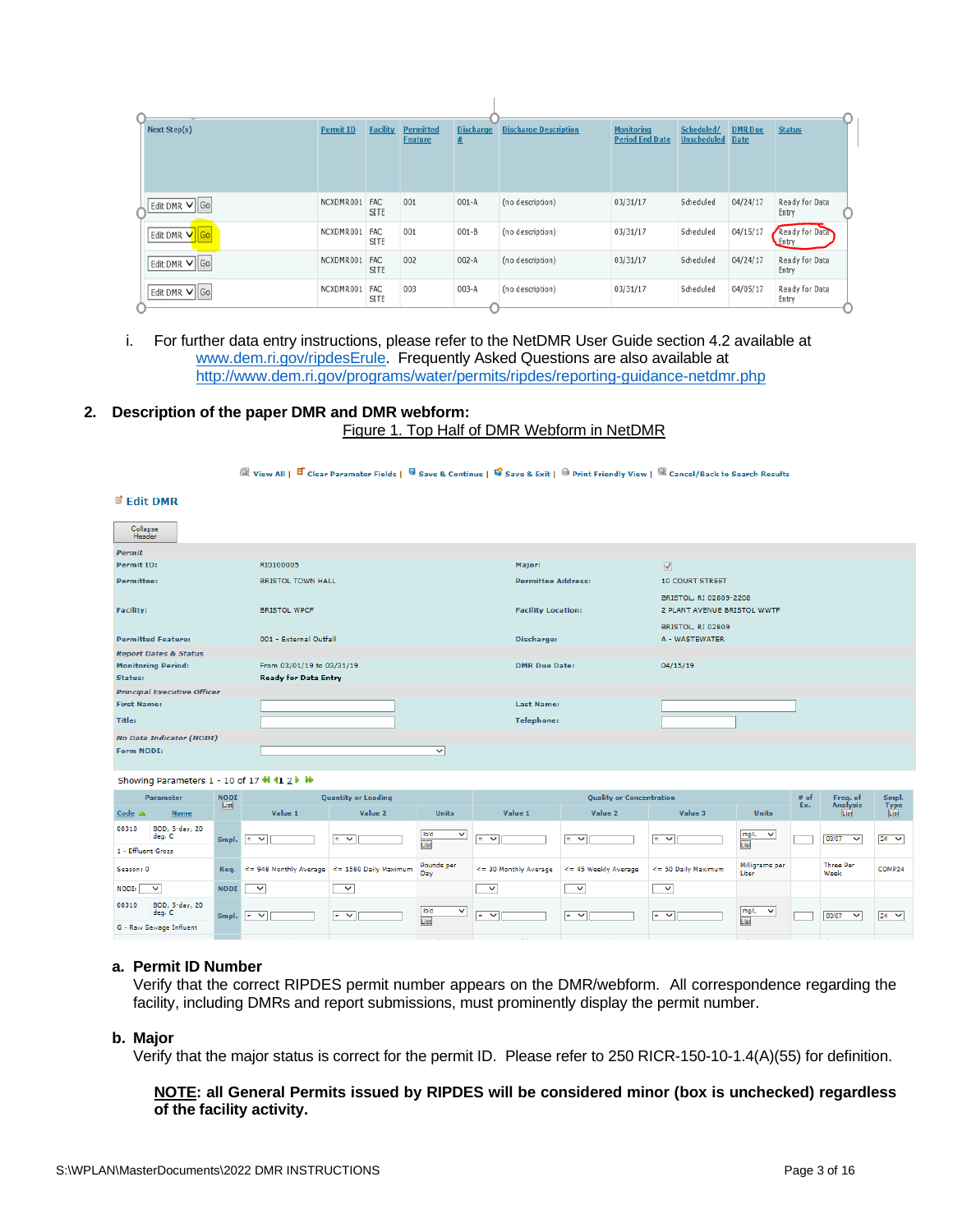| Next Step(s)  | <b>Permit ID</b> | <b>Facility</b>    | <b>Permitted</b><br><b>Feature</b> | <b>Discharge</b> | <b>Discharge Description</b> | <b>Monitoring</b><br><b>Period End Date</b> | Scheduled/<br><b>Unscheduled</b> | <b>DMR</b> Due<br><b>Date</b> | <b>Status</b>           |  |
|---------------|------------------|--------------------|------------------------------------|------------------|------------------------------|---------------------------------------------|----------------------------------|-------------------------------|-------------------------|--|
|               |                  |                    |                                    |                  |                              |                                             |                                  |                               |                         |  |
| Edit DMR V Go | NCXDMR001        | <b>FAC</b><br>SITE | 001                                | $001-A$          | (no description)             | 03/31/17                                    | Scheduled                        | 04/24/17                      | Ready for Data<br>Entry |  |
| Edit DMR V Go | NCXDMR001        | FAC<br>SITE        | 001                                | $001 - B$        | (no description)             | 03/31/17                                    | Scheduled                        | 04/15/17                      | Ready for Data<br>Entry |  |
| Edit DMR V Go | NCXDMR001        | FAC<br><b>SITE</b> | 002                                | $002 - A$        | (no description)             | 03/31/17                                    | Scheduled                        | 04/24/17                      | Ready for Data<br>Entry |  |
| Edit DMR V Go | NCXDMR001        | FAC<br>SITE        | 003                                | $003-A$          | (no description)             | 03/31/17                                    | Scheduled                        | 04/05/17                      | Ready for Data<br>Entry |  |

- i. For further data entry instructions, please refer to the NetDMR User Guide section 4.2 available at [www.dem.ri.gov/ripdesErule.](http://www.dem.ri.gov/ripdesErule) Frequently Asked Questions are also available at <http://www.dem.ri.gov/programs/water/permits/ripdes/reporting-guidance-netdmr.php>
- **2. Description of the paper DMR and DMR webform:** Figure 1. Top Half of DMR Webform in NetDMR

#### **Q** View All |  $\overline{B}$  Clear Parameter Fields |  $\overline{Q}$  Save & Continue |  $\overline{Q}$  Save & Exit |  $\oplus$  Print Friendly View |  $\overline{Q}$  Cancel/Back to Search Results

#### **d** Edit DMR

| Collapse<br>Header                 |                             |                           |                                                       |
|------------------------------------|-----------------------------|---------------------------|-------------------------------------------------------|
| <b>Permit</b>                      |                             |                           |                                                       |
| <b>Permit ID:</b>                  | RI0100005                   | Major:                    | $\blacktriangledown$                                  |
| <b>Permittee:</b>                  | <b>BRISTOL TOWN HALL</b>    | <b>Permittee Address:</b> | <b>10 COURT STREET</b>                                |
| <b>Facility:</b>                   | <b>BRISTOL WPCF</b>         | <b>Facility Location:</b> | BRISTOL, RI 02809-2208<br>2 PLANT AVENUE BRISTOL WWTF |
| <b>Permitted Feature:</b>          | 001 - External Outfall      | Discharge:                | BRISTOL, RI 02809<br>A - WASTEWATER                   |
| <b>Report Dates &amp; Status</b>   |                             |                           |                                                       |
| <b>Monitoring Period:</b>          | From 03/01/19 to 03/31/19   | <b>DMR Due Date:</b>      | 04/15/19                                              |
| Status:                            | <b>Ready for Data Entry</b> |                           |                                                       |
| <b>Principal Executive Officer</b> |                             |                           |                                                       |
| <b>First Name:</b>                 |                             | <b>Last Name:</b>         |                                                       |
| Title:                             |                             | <b>Telephone:</b>         |                                                       |
| No Data Indicator (NODI)           |                             |                           |                                                       |
| Form NODI:                         | $\checkmark$                |                           |                                                       |

Showing Parameters 1 - 10 of 17 4 11 2

|                    | <b>Parameter</b>         | <b>NODI</b><br>List |                             | <b>Quantity or Loading</b>                   |                              |                       | <b>Quality or Concentration</b>  |                     |                              |     |                          | Smpl.        |
|--------------------|--------------------------|---------------------|-----------------------------|----------------------------------------------|------------------------------|-----------------------|----------------------------------|---------------------|------------------------------|-----|--------------------------|--------------|
| Code $\triangle$   | <b>Name</b>              |                     | Value 1                     | Value 2                                      | <b>Units</b>                 | Value 1               | Value 2                          | Value 3             | <b>Units</b>                 | Ex. | <b>Analysis</b><br>List  | Type<br>List |
| 00310              | BOD, 5-day, 20<br>deg. C | Smpl.               | $\ddot{\phantom{1}}$<br>$=$ | ∣≕ ∨                                         | Ib/d<br>$\checkmark$<br>List | $\checkmark$<br>$=$   | $\vert \cdot \vert$ $\vee \vert$ | $= 4$               | mg/L<br>$\checkmark$<br>List |     | 03/07<br>$\checkmark$    | $24 \times$  |
| 1 - Effluent Gross |                          |                     |                             |                                              |                              |                       |                                  |                     |                              |     |                          |              |
| Season: 0          |                          | Req.                |                             | <= 948 Monthly Average <= 1580 Daily Maximum | Pounds per<br>Dav            | <= 30 Monthly Average | <= 45 Weekly Average             | <= 50 Daily Maximum | Milligrams per<br>Liter      |     | <b>Three Per</b><br>Week | COMP24       |
| NODI:              | $\checkmark$             | <b>NODI</b>         | $\checkmark$                | $\checkmark$                                 |                              | $\checkmark$          | $\checkmark$                     | $\checkmark$        |                              |     |                          |              |
| 00310              | BOD, 5-day, 20<br>deg. C | Smpl.               | ⊪∍ ∨                        | $\blacksquare$                               | lb/d<br>$\checkmark$         | $\checkmark$          | $\checkmark$<br>$=$              | $\vert \cdot \vert$ | mg/L<br>$\checkmark$<br>List |     | 03/07<br>$\checkmark$    | $24 \times$  |
|                    | G - Raw Sewage Influent  |                     |                             |                                              | List                         |                       |                                  |                     |                              |     |                          |              |

#### **a. Permit ID Number**

Verify that the correct RIPDES permit number appears on the DMR/webform. All correspondence regarding the facility, including DMRs and report submissions, must prominently display the permit number.

#### **b. Major**

Verify that the major status is correct for the permit ID. Please refer to 250 RICR-150-10-1.4(A)(55) for definition.

#### **NOTE: all General Permits issued by RIPDES will be considered minor (box is unchecked) regardless of the facility activity.**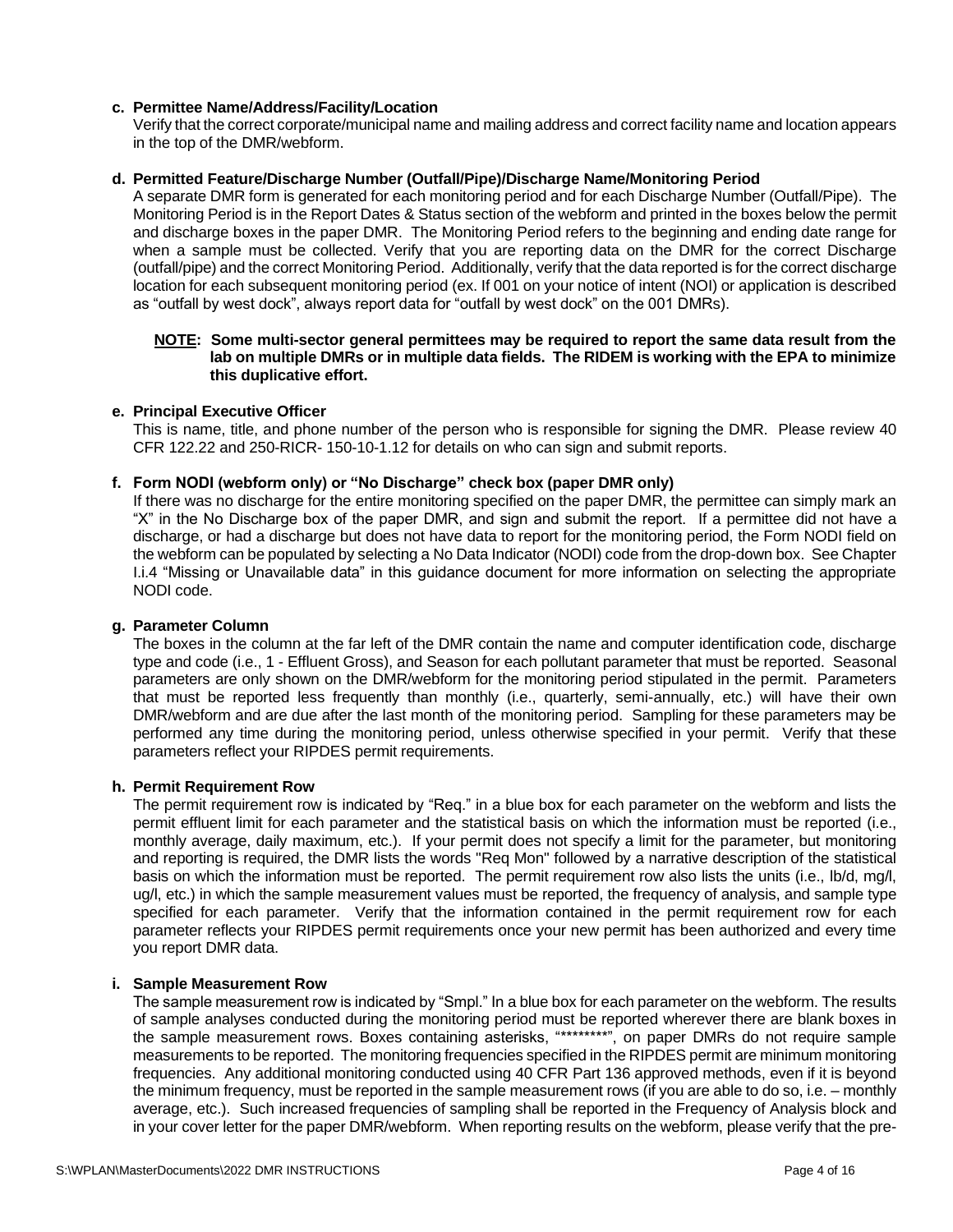#### **c. Permittee Name/Address/Facility/Location**

Verify that the correct corporate/municipal name and mailing address and correct facility name and location appears in the top of the DMR/webform.

#### **d. Permitted Feature/Discharge Number (Outfall/Pipe)/Discharge Name/Monitoring Period**

A separate DMR form is generated for each monitoring period and for each Discharge Number (Outfall/Pipe). The Monitoring Period is in the Report Dates & Status section of the webform and printed in the boxes below the permit and discharge boxes in the paper DMR. The Monitoring Period refers to the beginning and ending date range for when a sample must be collected. Verify that you are reporting data on the DMR for the correct Discharge (outfall/pipe) and the correct Monitoring Period. Additionally, verify that the data reported is for the correct discharge location for each subsequent monitoring period (ex. If 001 on your notice of intent (NOI) or application is described as "outfall by west dock", always report data for "outfall by west dock" on the 001 DMRs).

#### **NOTE: Some multi-sector general permittees may be required to report the same data result from the lab on multiple DMRs or in multiple data fields. The RIDEM is working with the EPA to minimize this duplicative effort.**

#### **e. Principal Executive Officer**

This is name, title, and phone number of the person who is responsible for signing the DMR. Please review 40 CFR 122.22 and 250-RICR- 150-10-1.12 for details on who can sign and submit reports.

#### **f. Form NODI (webform only) or "No Discharge" check box (paper DMR only)**

If there was no discharge for the entire monitoring specified on the paper DMR, the permittee can simply mark an "X" in the No Discharge box of the paper DMR, and sign and submit the report. If a permittee did not have a discharge, or had a discharge but does not have data to report for the monitoring period, the Form NODI field on the webform can be populated by selecting a No Data Indicator (NODI) code from the drop-down box. See Chapter I.i.4 "Missing or Unavailable data" in this guidance document for more information on selecting the appropriate NODI code.

## **g. Parameter Column**

The boxes in the column at the far left of the DMR contain the name and computer identification code, discharge type and code (i.e., 1 - Effluent Gross), and Season for each pollutant parameter that must be reported. Seasonal parameters are only shown on the DMR/webform for the monitoring period stipulated in the permit. Parameters that must be reported less frequently than monthly (i.e., quarterly, semi-annually, etc.) will have their own DMR/webform and are due after the last month of the monitoring period. Sampling for these parameters may be performed any time during the monitoring period, unless otherwise specified in your permit. Verify that these parameters reflect your RIPDES permit requirements.

#### **h. Permit Requirement Row**

The permit requirement row is indicated by "Req." in a blue box for each parameter on the webform and lists the permit effluent limit for each parameter and the statistical basis on which the information must be reported (i.e., monthly average, daily maximum, etc.). If your permit does not specify a limit for the parameter, but monitoring and reporting is required, the DMR lists the words "Req Mon" followed by a narrative description of the statistical basis on which the information must be reported. The permit requirement row also lists the units (i.e., lb/d, mg/l, ug/l, etc.) in which the sample measurement values must be reported, the frequency of analysis, and sample type specified for each parameter. Verify that the information contained in the permit requirement row for each parameter reflects your RIPDES permit requirements once your new permit has been authorized and every time you report DMR data.

#### **i. Sample Measurement Row**

The sample measurement row is indicated by "Smpl." In a blue box for each parameter on the webform. The results of sample analyses conducted during the monitoring period must be reported wherever there are blank boxes in the sample measurement rows. Boxes containing asterisks, "\*\*\*\*\*\*\*\*", on paper DMRs do not require sample measurements to be reported. The monitoring frequencies specified in the RIPDES permit are minimum monitoring frequencies. Any additional monitoring conducted using 40 CFR Part 136 approved methods, even if it is beyond the minimum frequency, must be reported in the sample measurement rows (if you are able to do so, i.e. – monthly average, etc.). Such increased frequencies of sampling shall be reported in the Frequency of Analysis block and in your cover letter for the paper DMR/webform. When reporting results on the webform, please verify that the pre-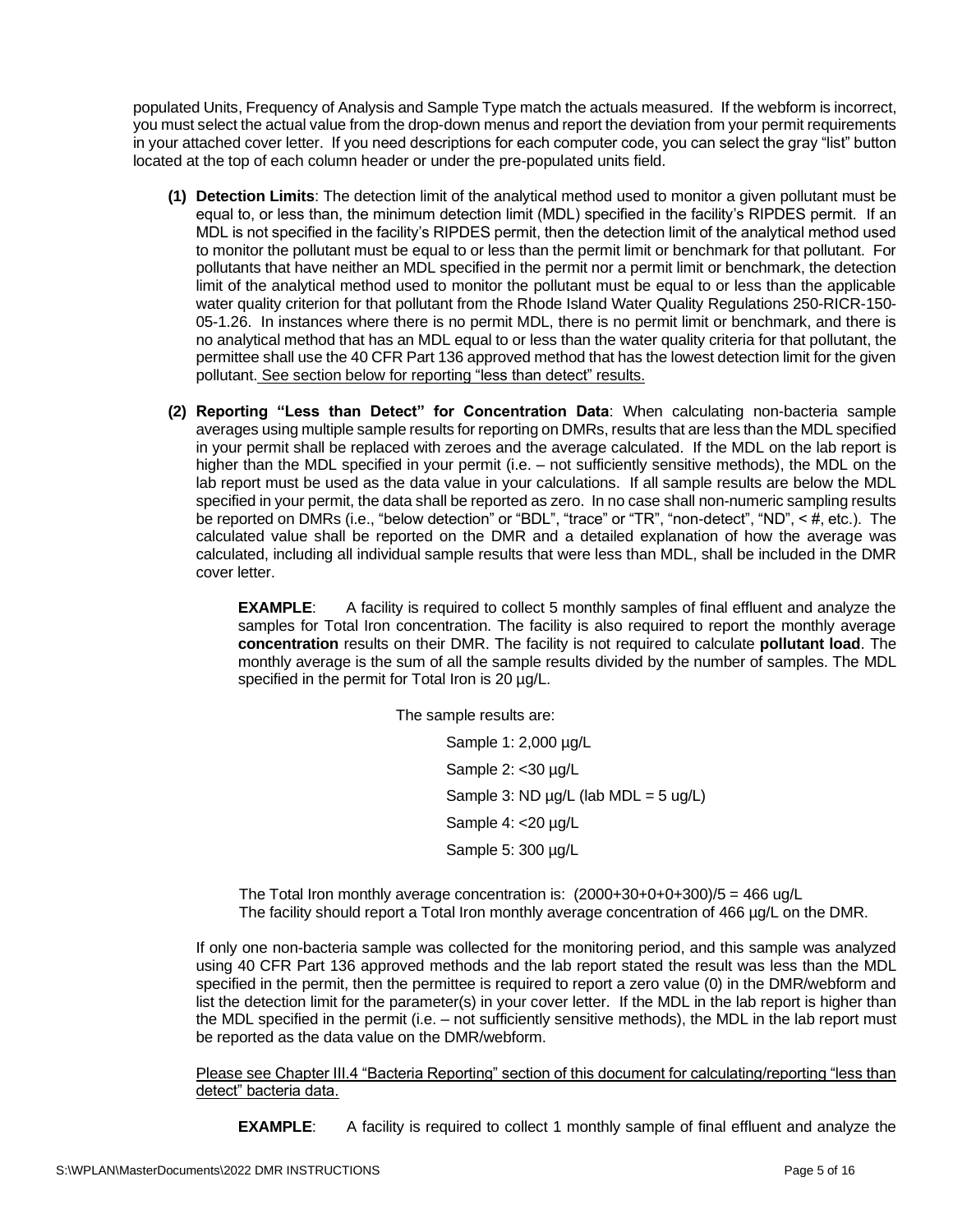populated Units, Frequency of Analysis and Sample Type match the actuals measured. If the webform is incorrect, you must select the actual value from the drop-down menus and report the deviation from your permit requirements in your attached cover letter. If you need descriptions for each computer code, you can select the gray "list" button located at the top of each column header or under the pre-populated units field.

- **(1) Detection Limits**: The detection limit of the analytical method used to monitor a given pollutant must be equal to, or less than, the minimum detection limit (MDL) specified in the facility's RIPDES permit. If an MDL is not specified in the facility's RIPDES permit, then the detection limit of the analytical method used to monitor the pollutant must be equal to or less than the permit limit or benchmark for that pollutant. For pollutants that have neither an MDL specified in the permit nor a permit limit or benchmark, the detection limit of the analytical method used to monitor the pollutant must be equal to or less than the applicable water quality criterion for that pollutant from the Rhode Island Water Quality Regulations 250-RICR-150- 05-1.26. In instances where there is no permit MDL, there is no permit limit or benchmark, and there is no analytical method that has an MDL equal to or less than the water quality criteria for that pollutant, the permittee shall use the 40 CFR Part 136 approved method that has the lowest detection limit for the given pollutant. See section below for reporting "less than detect" results.
- **(2) Reporting "Less than Detect" for Concentration Data**: When calculating non-bacteria sample averages using multiple sample results for reporting on DMRs, results that are less than the MDL specified in your permit shall be replaced with zeroes and the average calculated. If the MDL on the lab report is higher than the MDL specified in your permit (i.e. – not sufficiently sensitive methods), the MDL on the lab report must be used as the data value in your calculations. If all sample results are below the MDL specified in your permit, the data shall be reported as zero. In no case shall non-numeric sampling results be reported on DMRs (i.e., "below detection" or "BDL", "trace" or "TR", "non-detect", "ND", < #, etc.). The calculated value shall be reported on the DMR and a detailed explanation of how the average was calculated, including all individual sample results that were less than MDL, shall be included in the DMR cover letter.

**EXAMPLE**: A facility is required to collect 5 monthly samples of final effluent and analyze the samples for Total Iron concentration. The facility is also required to report the monthly average **concentration** results on their DMR. The facility is not required to calculate **pollutant load**. The monthly average is the sum of all the sample results divided by the number of samples. The MDL specified in the permit for Total Iron is 20 µg/L.

> The sample results are: Sample 1: 2,000 µg/L Sample 2: < 30 µg/L Sample 3: ND  $\mu$ g/L (lab MDL = 5 ug/L) Sample 4: <20 µg/L Sample 5: 300 µg/L

The Total Iron monthly average concentration is:  $(2000+30+0+0+300)/5 = 466$  ug/L The facility should report a Total Iron monthly average concentration of 466 µg/L on the DMR.

If only one non-bacteria sample was collected for the monitoring period, and this sample was analyzed using 40 CFR Part 136 approved methods and the lab report stated the result was less than the MDL specified in the permit, then the permittee is required to report a zero value (0) in the DMR/webform and list the detection limit for the parameter(s) in your cover letter. If the MDL in the lab report is higher than the MDL specified in the permit (i.e. – not sufficiently sensitive methods), the MDL in the lab report must be reported as the data value on the DMR/webform.

Please see Chapter III.4 "Bacteria Reporting" section of this document for calculating/reporting "less than detect" bacteria data.

**EXAMPLE:** A facility is required to collect 1 monthly sample of final effluent and analyze the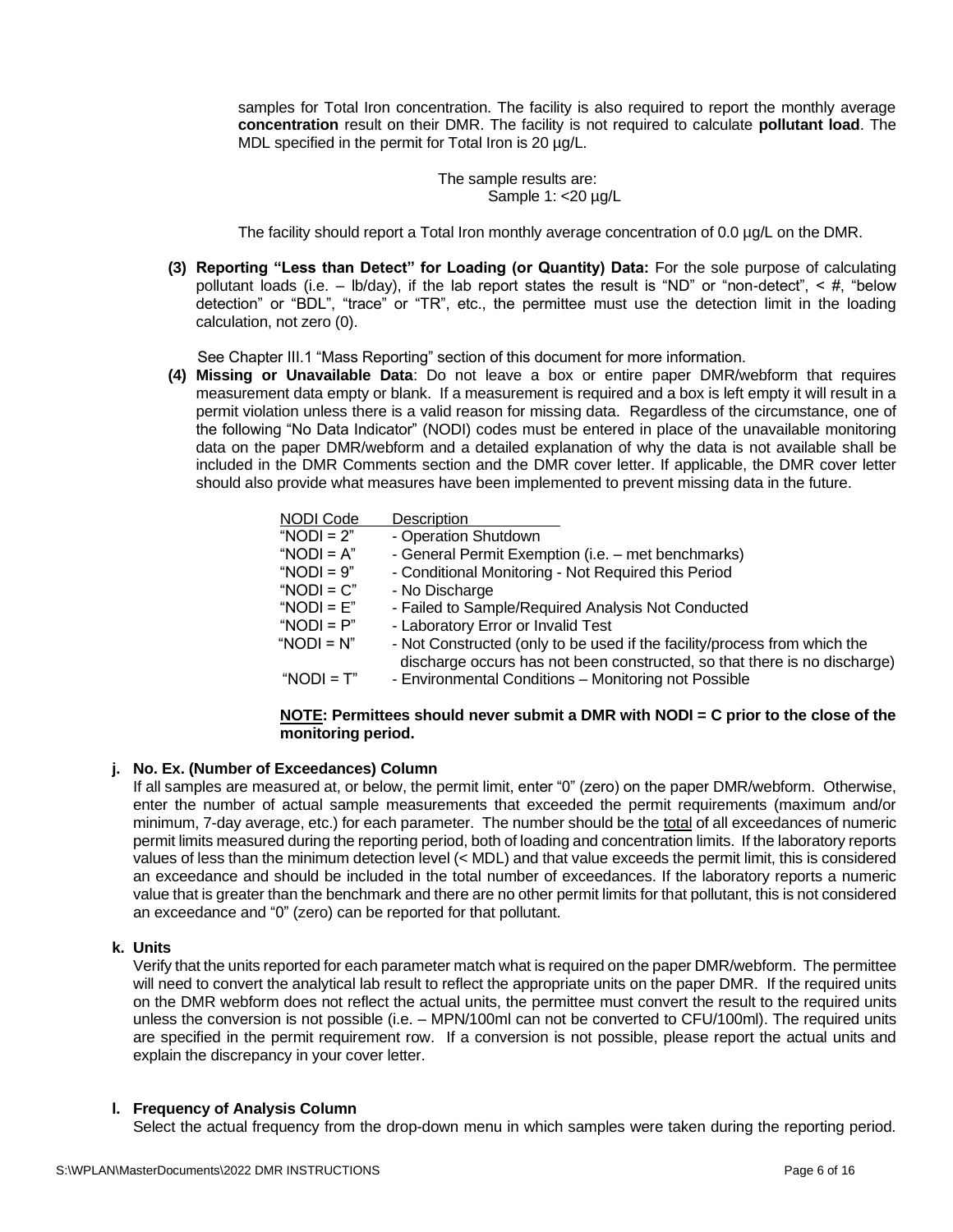samples for Total Iron concentration. The facility is also required to report the monthly average **concentration** result on their DMR. The facility is not required to calculate **pollutant load**. The MDL specified in the permit for Total Iron is 20  $\mu$ g/L.

> The sample results are: Sample 1:  $<$ 20  $\mu$ g/L

The facility should report a Total Iron monthly average concentration of 0.0 µg/L on the DMR.

**(3) Reporting "Less than Detect" for Loading (or Quantity) Data:** For the sole purpose of calculating pollutant loads (i.e.  $-$  lb/day), if the lab report states the result is "ND" or "non-detect",  $\lt$  #, "below detection" or "BDL", "trace" or "TR", etc., the permittee must use the detection limit in the loading calculation, not zero (0).

See Chapter III.1 "Mass Reporting" section of this document for more information.

**(4) Missing or Unavailable Data**: Do not leave a box or entire paper DMR/webform that requires measurement data empty or blank. If a measurement is required and a box is left empty it will result in a permit violation unless there is a valid reason for missing data. Regardless of the circumstance, one of the following "No Data Indicator" (NODI) codes must be entered in place of the unavailable monitoring data on the paper DMR/webform and a detailed explanation of why the data is not available shall be included in the DMR Comments section and the DMR cover letter. If applicable, the DMR cover letter should also provide what measures have been implemented to prevent missing data in the future.

| NODI Code     | Description                                                                                                                                            |
|---------------|--------------------------------------------------------------------------------------------------------------------------------------------------------|
| "NODI = $2$ " | - Operation Shutdown                                                                                                                                   |
| "NODI = $A$ " | - General Permit Exemption (i.e. - met benchmarks)                                                                                                     |
| "NODI = $9"$  | - Conditional Monitoring - Not Required this Period                                                                                                    |
| "NODI = $C$ " | - No Discharge                                                                                                                                         |
| "NODI = $E$ " | - Failed to Sample/Required Analysis Not Conducted                                                                                                     |
| "NODI = $P$ " | - Laboratory Error or Invalid Test                                                                                                                     |
| "NODI = $N$ " | - Not Constructed (only to be used if the facility/process from which the<br>discharge occurs has not been constructed, so that there is no discharge) |
| "NODI = $T$ " | - Environmental Conditions - Monitoring not Possible                                                                                                   |

#### **NOTE: Permittees should never submit a DMR with NODI = C prior to the close of the monitoring period.**

#### **j. No. Ex. (Number of Exceedances) Column**

If all samples are measured at, or below, the permit limit, enter "0" (zero) on the paper DMR/webform. Otherwise, enter the number of actual sample measurements that exceeded the permit requirements (maximum and/or minimum, 7-day average, etc.) for each parameter. The number should be the total of all exceedances of numeric permit limits measured during the reporting period, both of loading and concentration limits. If the laboratory reports values of less than the minimum detection level (< MDL) and that value exceeds the permit limit, this is considered an exceedance and should be included in the total number of exceedances. If the laboratory reports a numeric value that is greater than the benchmark and there are no other permit limits for that pollutant, this is not considered an exceedance and "0" (zero) can be reported for that pollutant.

#### **k. Units**

Verify that the units reported for each parameter match what is required on the paper DMR/webform. The permittee will need to convert the analytical lab result to reflect the appropriate units on the paper DMR. If the required units on the DMR webform does not reflect the actual units, the permittee must convert the result to the required units unless the conversion is not possible (i.e. – MPN/100ml can not be converted to CFU/100ml). The required units are specified in the permit requirement row. If a conversion is not possible, please report the actual units and explain the discrepancy in your cover letter.

#### **l. Frequency of Analysis Column**

Select the actual frequency from the drop-down menu in which samples were taken during the reporting period.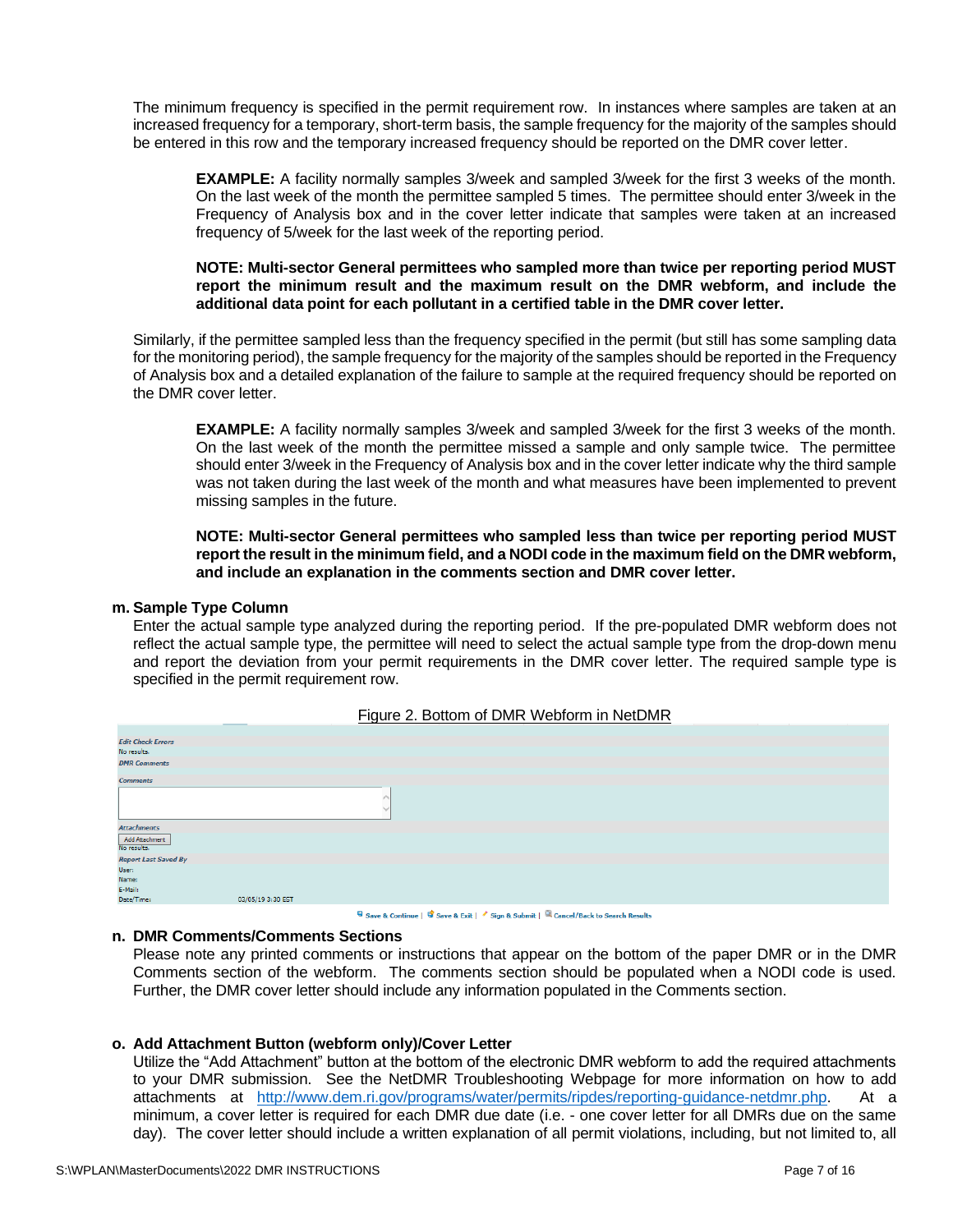The minimum frequency is specified in the permit requirement row. In instances where samples are taken at an increased frequency for a temporary, short-term basis, the sample frequency for the majority of the samples should be entered in this row and the temporary increased frequency should be reported on the DMR cover letter.

**EXAMPLE:** A facility normally samples 3/week and sampled 3/week for the first 3 weeks of the month. On the last week of the month the permittee sampled 5 times. The permittee should enter 3/week in the Frequency of Analysis box and in the cover letter indicate that samples were taken at an increased frequency of 5/week for the last week of the reporting period.

#### **NOTE: Multi-sector General permittees who sampled more than twice per reporting period MUST report the minimum result and the maximum result on the DMR webform, and include the additional data point for each pollutant in a certified table in the DMR cover letter.**

Similarly, if the permittee sampled less than the frequency specified in the permit (but still has some sampling data for the monitoring period), the sample frequency for the majority of the samples should be reported in the Frequency of Analysis box and a detailed explanation of the failure to sample at the required frequency should be reported on the DMR cover letter.

**EXAMPLE:** A facility normally samples 3/week and sampled 3/week for the first 3 weeks of the month. On the last week of the month the permittee missed a sample and only sample twice. The permittee should enter 3/week in the Frequency of Analysis box and in the cover letter indicate why the third sample was not taken during the last week of the month and what measures have been implemented to prevent missing samples in the future.

**NOTE: Multi-sector General permittees who sampled less than twice per reporting period MUST report the result in the minimum field, and a NODI code in the maximum field on the DMR webform, and include an explanation in the comments section and DMR cover letter.**

#### **m. Sample Type Column**

Enter the actual sample type analyzed during the reporting period. If the pre-populated DMR webform does not reflect the actual sample type, the permittee will need to select the actual sample type from the drop-down menu and report the deviation from your permit requirements in the DMR cover letter. The required sample type is specified in the permit requirement row.

| <b>Edit Check Errors</b>      |                   |  |
|-------------------------------|-------------------|--|
| No results.                   |                   |  |
| <b>DMR</b> Comments           |                   |  |
|                               |                   |  |
| <b>Comments</b>               |                   |  |
|                               |                   |  |
|                               |                   |  |
| <b>Attachments</b>            |                   |  |
| Add Attachment<br>No results. |                   |  |
| <b>Report Last Saved By</b>   |                   |  |
| User:                         |                   |  |
| Name:                         |                   |  |
| E-Mail:                       |                   |  |
| Date/Time:                    | 03/05/19 3:30 EST |  |
|                               |                   |  |

#### Figure 2. Bottom of DMR Webform in NetDMR

G Save & Continue | G Save & Exit | Sign & Submit | Q Cancel/Back to Search Results

#### **n. DMR Comments/Comments Sections**

Please note any printed comments or instructions that appear on the bottom of the paper DMR or in the DMR Comments section of the webform. The comments section should be populated when a NODI code is used. Further, the DMR cover letter should include any information populated in the Comments section.

#### **o. Add Attachment Button (webform only)/Cover Letter**

Utilize the "Add Attachment" button at the bottom of the electronic DMR webform to add the required attachments to your DMR submission. See the NetDMR Troubleshooting Webpage for more information on how to add attachments at [http://www.dem.ri.gov/programs/water/permits/ripdes/reporting-guidance-netdmr.php.](http://www.dem.ri.gov/programs/water/permits/ripdes/reporting-guidance-netdmr.php) At a minimum, a cover letter is required for each DMR due date (i.e. - one cover letter for all DMRs due on the same day). The cover letter should include a written explanation of all permit violations, including, but not limited to, all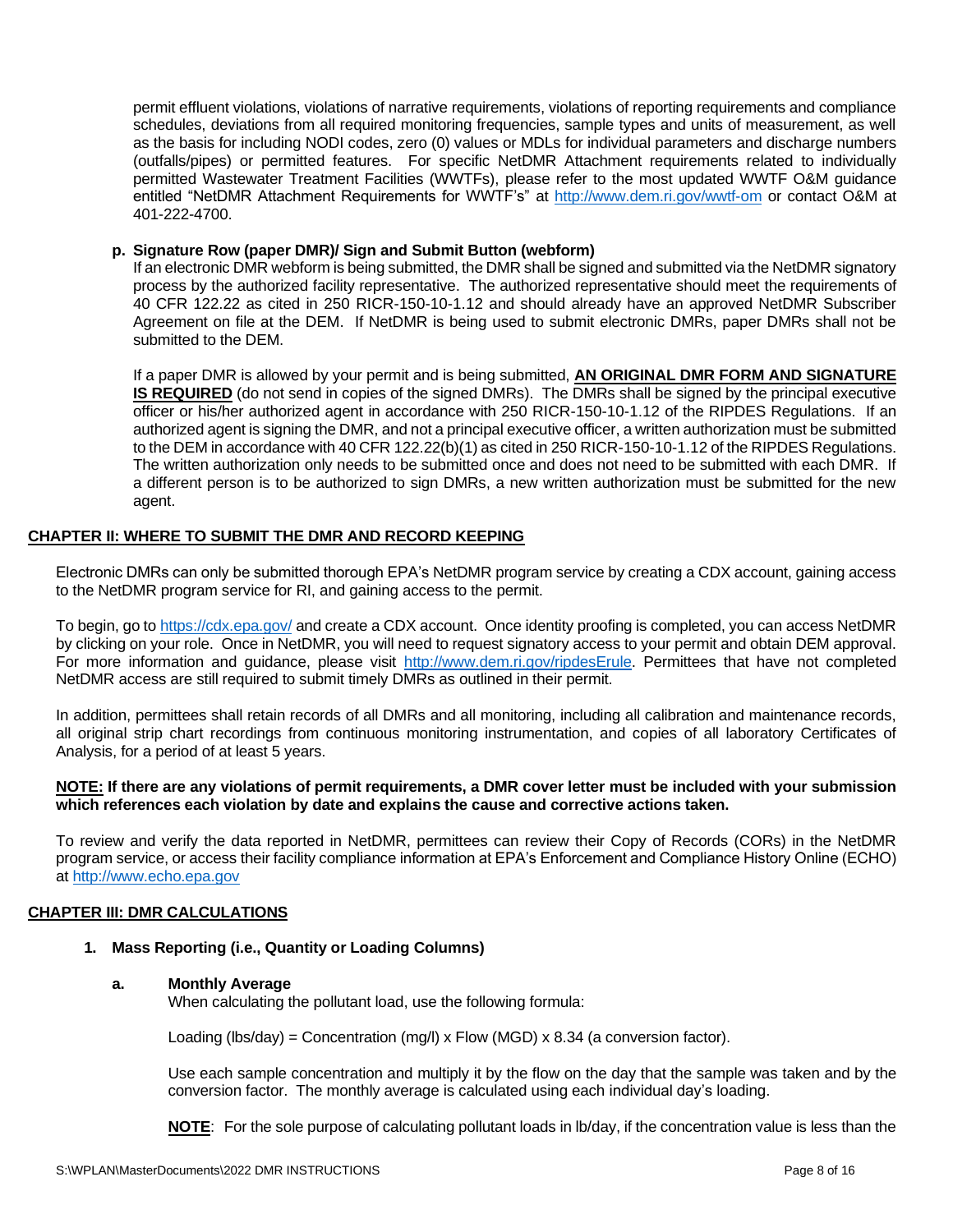permit effluent violations, violations of narrative requirements, violations of reporting requirements and compliance schedules, deviations from all required monitoring frequencies, sample types and units of measurement, as well as the basis for including NODI codes, zero (0) values or MDLs for individual parameters and discharge numbers (outfalls/pipes) or permitted features. For specific NetDMR Attachment requirements related to individually permitted Wastewater Treatment Facilities (WWTFs), please refer to the most updated WWTF O&M guidance entitled "NetDMR Attachment Requirements for WWTF's" at<http://www.dem.ri.gov/wwtf-om> or contact O&M at 401-222-4700.

#### **p. Signature Row (paper DMR)/ Sign and Submit Button (webform)**

If an electronic DMR webform is being submitted, the DMR shall be signed and submitted via the NetDMR signatory process by the authorized facility representative. The authorized representative should meet the requirements of 40 CFR 122.22 as cited in 250 RICR-150-10-1.12 and should already have an approved NetDMR Subscriber Agreement on file at the DEM. If NetDMR is being used to submit electronic DMRs, paper DMRs shall not be submitted to the DEM.

If a paper DMR is allowed by your permit and is being submitted, **AN ORIGINAL DMR FORM AND SIGNATURE IS REQUIRED** (do not send in copies of the signed DMRs). The DMRs shall be signed by the principal executive officer or his/her authorized agent in accordance with 250 RICR-150-10-1.12 of the RIPDES Regulations. If an authorized agent is signing the DMR, and not a principal executive officer, a written authorization must be submitted to the DEM in accordance with 40 CFR 122.22(b)(1) as cited in 250 RICR-150-10-1.12 of the RIPDES Regulations. The written authorization only needs to be submitted once and does not need to be submitted with each DMR. If a different person is to be authorized to sign DMRs, a new written authorization must be submitted for the new agent.

#### **CHAPTER II: WHERE TO SUBMIT THE DMR AND RECORD KEEPING**

Electronic DMRs can only be submitted thorough EPA's NetDMR program service by creating a CDX account, gaining access to the NetDMR program service for RI, and gaining access to the permit.

To begin, go to<https://cdx.epa.gov/> and create a CDX account. Once identity proofing is completed, you can access NetDMR by clicking on your role. Once in NetDMR, you will need to request signatory access to your permit and obtain DEM approval. For more information and guidance, please visit [http://www.dem.ri.gov/ripdesErule.](http://www.dem.ri.gov/ripdesErule) Permittees that have not completed NetDMR access are still required to submit timely DMRs as outlined in their permit.

In addition, permittees shall retain records of all DMRs and all monitoring, including all calibration and maintenance records, all original strip chart recordings from continuous monitoring instrumentation, and copies of all laboratory Certificates of Analysis, for a period of at least 5 years.

#### **NOTE: If there are any violations of permit requirements, a DMR cover letter must be included with your submission which references each violation by date and explains the cause and corrective actions taken.**

To review and verify the data reported in NetDMR, permittees can review their Copy of Records (CORs) in the NetDMR program service, or access their facility compliance information at EPA's Enforcement and Compliance History Online (ECHO) at [http://www.echo.epa.gov](http://www.echo.epa.gov/)

#### **CHAPTER III: DMR CALCULATIONS**

#### **1. Mass Reporting (i.e., Quantity or Loading Columns)**

#### **a. Monthly Average**

When calculating the pollutant load, use the following formula:

Loading (lbs/day) = Concentration (mg/l) x Flow (MGD) x 8.34 (a conversion factor).

Use each sample concentration and multiply it by the flow on the day that the sample was taken and by the conversion factor. The monthly average is calculated using each individual day's loading.

**NOTE**: For the sole purpose of calculating pollutant loads in lb/day, if the concentration value is less than the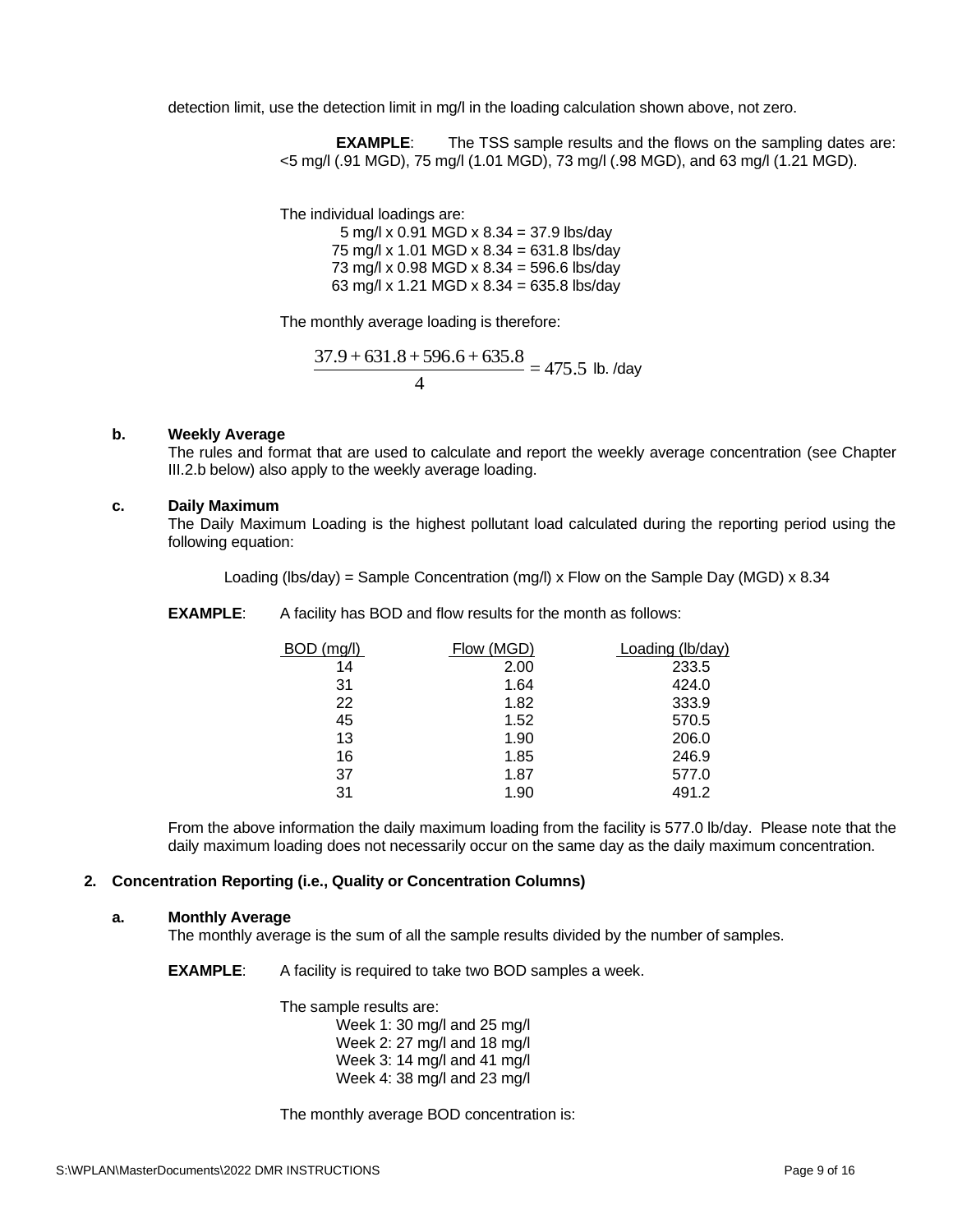detection limit, use the detection limit in mg/l in the loading calculation shown above, not zero.

**EXAMPLE:** The TSS sample results and the flows on the sampling dates are: <5 mg/l (.91 MGD), 75 mg/l (1.01 MGD), 73 mg/l (.98 MGD), and 63 mg/l (1.21 MGD).

The individual loadings are:

5 mg/l x 0.91 MGD x 8.34 = 37.9 lbs/day 75 mg/l x 1.01 MGD x 8.34 = 631.8 lbs/day 73 mg/l x 0.98 MGD x 8.34 = 596.6 lbs/day 63 mg/l x 1.21 MGD x 8.34 = 635.8 lbs/day

The monthly average loading is therefore:

$$
\frac{37.9 + 631.8 + 596.6 + 635.8}{4} = 475.5
$$
 lb. /day

#### **b. Weekly Average**

The rules and format that are used to calculate and report the weekly average concentration (see Chapter III.2.b below) also apply to the weekly average loading.

#### **c. Daily Maximum**

The Daily Maximum Loading is the highest pollutant load calculated during the reporting period using the following equation:

Loading (lbs/day) = Sample Concentration (mg/l) x Flow on the Sample Day (MGD) x 8.34

**EXAMPLE:** A facility has BOD and flow results for the month as follows:

| BOD (mg/l) | Flow (MGD) | Loading (lb/day) |
|------------|------------|------------------|
| 14         | 2.00       | 233.5            |
| 31         | 1.64       | 424.0            |
| 22         | 1.82       | 333.9            |
| 45         | 1.52       | 570.5            |
| 13         | 1.90       | 206.0            |
| 16         | 1.85       | 246.9            |
| 37         | 1.87       | 577.0            |
| 31         | 1.90       | 491.2            |

From the above information the daily maximum loading from the facility is 577.0 lb/day. Please note that the daily maximum loading does not necessarily occur on the same day as the daily maximum concentration.

#### **2. Concentration Reporting (i.e., Quality or Concentration Columns)**

#### **a. Monthly Average**

The monthly average is the sum of all the sample results divided by the number of samples.

**EXAMPLE:** A facility is required to take two BOD samples a week.

The sample results are: Week 1: 30 mg/l and 25 mg/l Week 2: 27 mg/l and 18 mg/l Week 3: 14 mg/l and 41 mg/l Week 4: 38 mg/l and 23 mg/l

The monthly average BOD concentration is: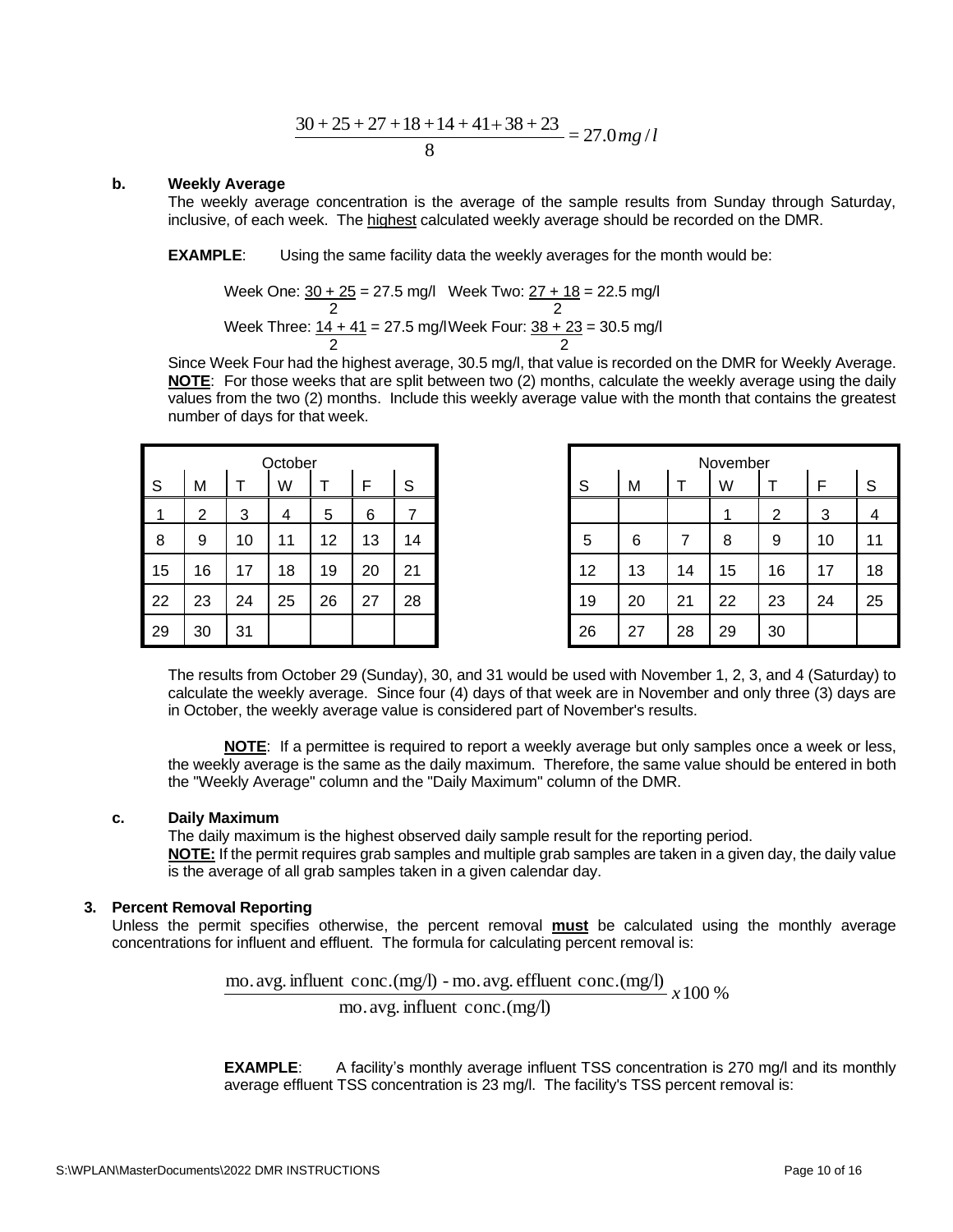$$
\frac{30+25+27+18+14+41+38+23}{8} = 27.0
$$
 mg l

#### **b. Weekly Average**

The weekly average concentration is the average of the sample results from Sunday through Saturday, inclusive, of each week. The highest calculated weekly average should be recorded on the DMR.

**EXAMPLE**: Using the same facility data the weekly averages for the month would be:

Week One: 
$$
\frac{30 + 25}{2} = 27.5
$$
 mg/l

\nWeek Two:  $\frac{27 + 18}{2} = 22.5$  mg/l

\nWeek Three:  $\frac{14 + 41}{2} = 27.5$  mg/l

\nWeek Four:  $\frac{38 + 23}{2} = 30.5$  mg/l

Since Week Four had the highest average, 30.5 mg/l, that value is recorded on the DMR for Weekly Average. **NOTE**: For those weeks that are split between two (2) months, calculate the weekly average using the daily values from the two (2) months. Include this weekly average value with the month that contains the greatest number of days for that week.

|    |    |    | October |    |    |    |
|----|----|----|---------|----|----|----|
| S  | М  |    | W       |    | F  | S  |
| 4  | 2  | 3  | 4       | 5  | 6  | 7  |
| 8  | 9  | 10 | 11      | 12 | 13 | 14 |
| 15 | 16 | 17 | 18      | 19 | 20 | 21 |
| 22 | 23 | 24 | 25      | 26 | 27 | 28 |
| 29 | 30 | 31 |         |    |    |    |

|    |    |    | October |    |    |    |
|----|----|----|---------|----|----|----|
| S  | M  |    | W       |    | F  | S  |
| 1  | ົ  | 3  | 4       | 5  | 6  |    |
| 8  | 9  | 10 | 11      | 12 | 13 | 14 |
| 15 | 16 | 17 | 18      | 19 | 20 | 21 |
| 22 | 23 | 24 | 25      | 26 | 27 | 28 |
| 29 | 30 | 31 |         |    |    |    |

The results from October 29 (Sunday), 30, and 31 would be used with November 1, 2, 3, and 4 (Saturday) to calculate the weekly average. Since four (4) days of that week are in November and only three (3) days are in October, the weekly average value is considered part of November's results.

**NOTE**: If a permittee is required to report a weekly average but only samples once a week or less, the weekly average is the same as the daily maximum. Therefore, the same value should be entered in both the "Weekly Average" column and the "Daily Maximum" column of the DMR.

#### **c. Daily Maximum**

The daily maximum is the highest observed daily sample result for the reporting period. **NOTE:** If the permit requires grab samples and multiple grab samples are taken in a given day, the daily value is the average of all grab samples taken in a given calendar day.

#### **3. Percent Removal Reporting**

Unless the permit specifies otherwise, the percent removal **must** be calculated using the monthly average concentrations for influent and effluent. The formula for calculating percent removal is:

> mo. avg. influent conc.(mg/l) - mo. avg. effluent conc.(mg/l)  $\chi$  100 % mo.avg. influent conc.(mg/l)

**EXAMPLE:** A facility's monthly average influent TSS concentration is 270 mg/l and its monthly average effluent TSS concentration is 23 mg/l. The facility's TSS percent removal is: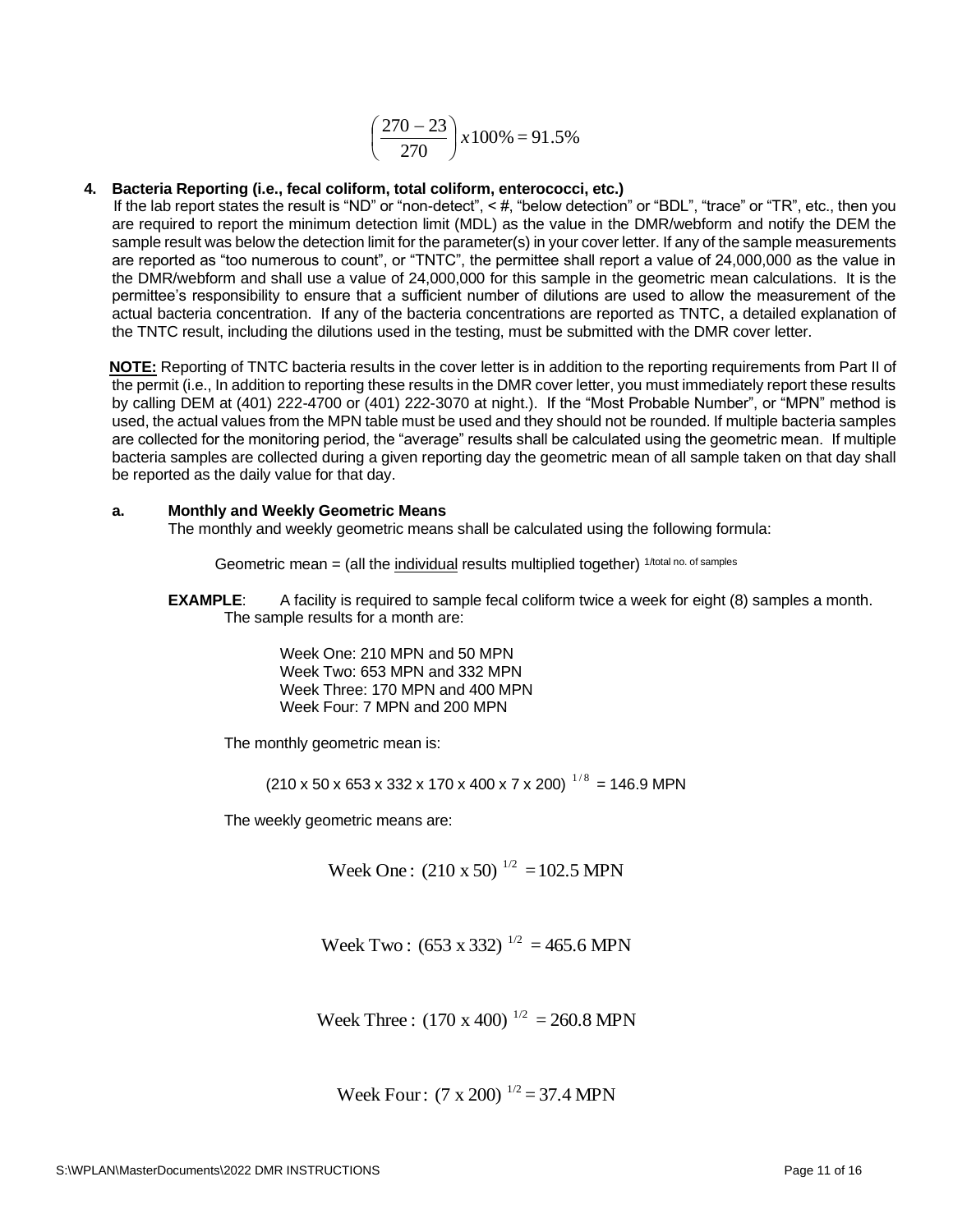$$
\left(\frac{270 - 23}{270}\right) x 100\% = 91.5\%
$$

#### **4. Bacteria Reporting (i.e., fecal coliform, total coliform, enterococci, etc.)**

If the lab report states the result is "ND" or "non-detect", <#, "below detection" or "BDL", "trace" or "TR", etc., then you are required to report the minimum detection limit (MDL) as the value in the DMR/webform and notify the DEM the sample result was below the detection limit for the parameter(s) in your cover letter. If any of the sample measurements are reported as "too numerous to count", or "TNTC", the permittee shall report a value of 24,000,000 as the value in the DMR/webform and shall use a value of 24,000,000 for this sample in the geometric mean calculations. It is the permittee's responsibility to ensure that a sufficient number of dilutions are used to allow the measurement of the actual bacteria concentration. If any of the bacteria concentrations are reported as TNTC, a detailed explanation of the TNTC result, including the dilutions used in the testing, must be submitted with the DMR cover letter.

**NOTE:** Reporting of TNTC bacteria results in the cover letter is in addition to the reporting requirements from Part II of the permit (i.e., In addition to reporting these results in the DMR cover letter, you must immediately report these results by calling DEM at (401) 222-4700 or (401) 222-3070 at night.). If the "Most Probable Number", or "MPN" method is used, the actual values from the MPN table must be used and they should not be rounded. If multiple bacteria samples are collected for the monitoring period, the "average" results shall be calculated using the geometric mean. If multiple bacteria samples are collected during a given reporting day the geometric mean of all sample taken on that day shall be reported as the daily value for that day.

#### **a. Monthly and Weekly Geometric Means**

The monthly and weekly geometric means shall be calculated using the following formula:

Geometric mean  $=$  (all the individual results multiplied together)  $1/total no.$  of samples

**EXAMPLE**: A facility is required to sample fecal coliform twice a week for eight (8) samples a month. The sample results for a month are:

> Week One: 210 MPN and 50 MPN Week Two: 653 MPN and 332 MPN Week Three: 170 MPN and 400 MPN Week Four: 7 MPN and 200 MPN

The monthly geometric mean is:

 $(210 \times 50 \times 653 \times 332 \times 170 \times 400 \times 7 \times 200)^{-1/8} = 146.9$  MPN

The weekly geometric means are:

Week One :  $(210 \times 50)^{-1/2} = 102.5$  MPN

Week Two:  $(653 \times 332)^{1/2} = 465.6$  MPN

Week Three :  $(170 \times 400)^{1/2} = 260.8 \text{ MPN}$ 

Week Four:  $(7 \times 200)^{1/2} = 37.4 \text{ MPN}$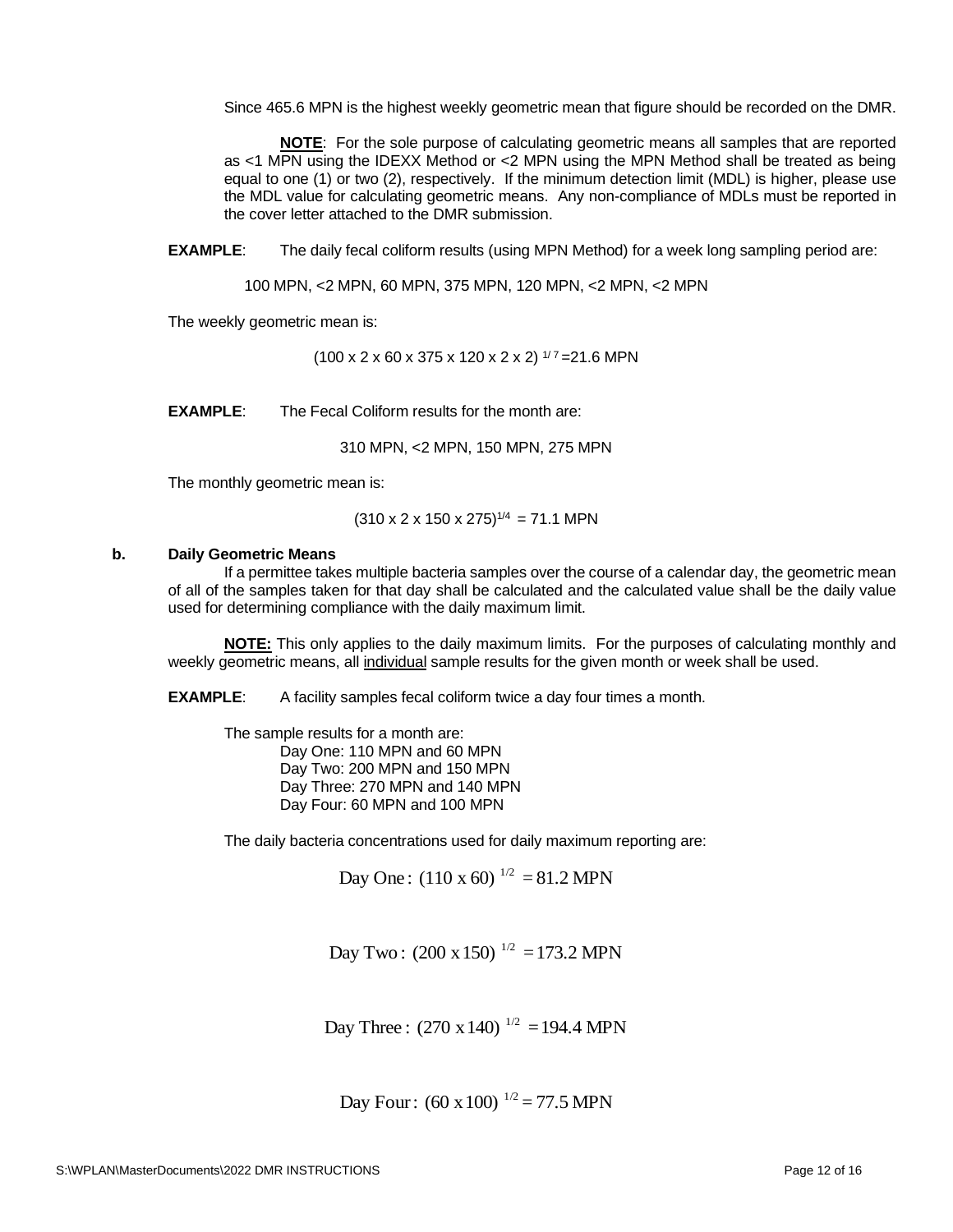Since 465.6 MPN is the highest weekly geometric mean that figure should be recorded on the DMR.

**NOTE**: For the sole purpose of calculating geometric means all samples that are reported as <1 MPN using the IDEXX Method or <2 MPN using the MPN Method shall be treated as being equal to one (1) or two (2), respectively. If the minimum detection limit (MDL) is higher, please use the MDL value for calculating geometric means. Any non-compliance of MDLs must be reported in the cover letter attached to the DMR submission.

**EXAMPLE:** The daily fecal coliform results (using MPN Method) for a week long sampling period are:

100 MPN, <2 MPN, 60 MPN, 375 MPN, 120 MPN, <2 MPN, <2 MPN

The weekly geometric mean is:

 $(100 \times 2 \times 60 \times 375 \times 120 \times 2 \times 2)$  1/7 = 21.6 MPN

**EXAMPLE**: The Fecal Coliform results for the month are:

310 MPN, <2 MPN, 150 MPN, 275 MPN

The monthly geometric mean is:

 $(310 \times 2 \times 150 \times 275)^{1/4} = 71.1$  MPN

#### **b. Daily Geometric Means**

If a permittee takes multiple bacteria samples over the course of a calendar day, the geometric mean of all of the samples taken for that day shall be calculated and the calculated value shall be the daily value used for determining compliance with the daily maximum limit.

**NOTE:** This only applies to the daily maximum limits. For the purposes of calculating monthly and weekly geometric means, all individual sample results for the given month or week shall be used.

**EXAMPLE:** A facility samples fecal coliform twice a day four times a month.

The sample results for a month are:

Day One: 110 MPN and 60 MPN Day Two: 200 MPN and 150 MPN Day Three: 270 MPN and 140 MPN Day Four: 60 MPN and 100 MPN

The daily bacteria concentrations used for daily maximum reporting are:

Day One:  $(110 \times 60)^{1/2} = 81.2$  MPN

Day Two:  $(200 \times 150)^{1/2} = 173.2$  MPN

Day Three :  $(270 \times 140)^{1/2} = 194.4 \text{ MPN}$ 

Day Four:  $(60 \times 100)^{-1/2} = 77.5$  MPN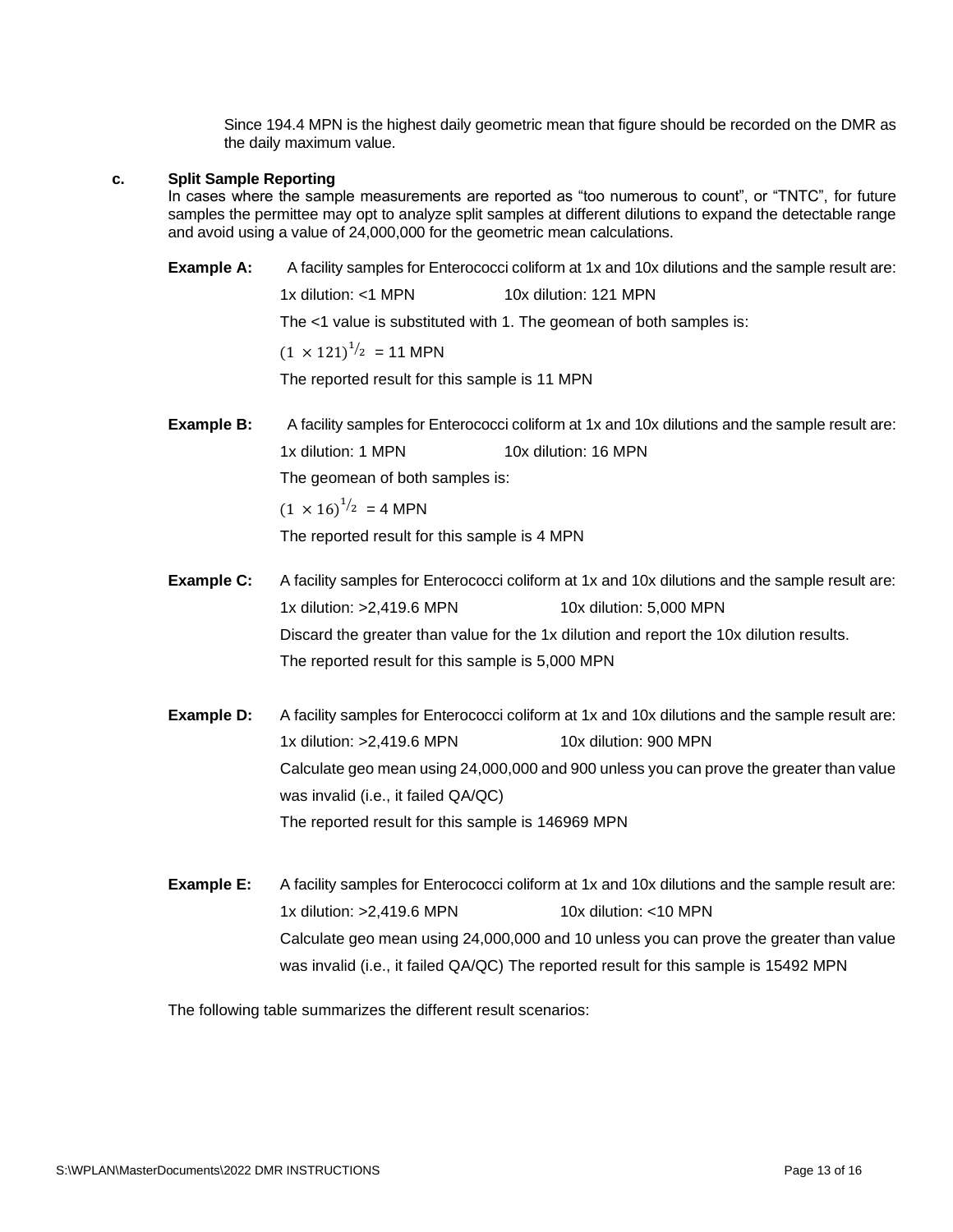Since 194.4 MPN is the highest daily geometric mean that figure should be recorded on the DMR as the daily maximum value.

#### **c. Split Sample Reporting**

In cases where the sample measurements are reported as "too numerous to count", or "TNTC", for future samples the permittee may opt to analyze split samples at different dilutions to expand the detectable range and avoid using a value of 24,000,000 for the geometric mean calculations.

**Example A:** A facility samples for Enterococci coliform at 1x and 10x dilutions and the sample result are:

1x dilution: <1 MPN 10x dilution: 121 MPN

The <1 value is substituted with 1. The geomean of both samples is:

 $(1 \times 121)^{1/2}$  = 11 MPN

The reported result for this sample is 11 MPN

**Example B:** A facility samples for Enterococci coliform at 1x and 10x dilutions and the sample result are: 1x dilution: 1 MPN 10x dilution: 16 MPN

The geomean of both samples is:

 $(1 \times 16)^{1/2}$  = 4 MPN

The reported result for this sample is 4 MPN

- **Example C:** A facility samples for Enterococci coliform at 1x and 10x dilutions and the sample result are: 1x dilution: >2,419.6 MPN 10x dilution: 5,000 MPN Discard the greater than value for the 1x dilution and report the 10x dilution results. The reported result for this sample is 5,000 MPN
- **Example D:** A facility samples for Enterococci coliform at 1x and 10x dilutions and the sample result are: 1x dilution: >2,419.6 MPN 10x dilution: 900 MPN Calculate geo mean using 24,000,000 and 900 unless you can prove the greater than value was invalid (i.e., it failed QA/QC) The reported result for this sample is 146969 MPN
- **Example E:** A facility samples for Enterococci coliform at 1x and 10x dilutions and the sample result are: 1x dilution: >2,419.6 MPN 10x dilution: <10 MPN Calculate geo mean using 24,000,000 and 10 unless you can prove the greater than value was invalid (i.e., it failed QA/QC) The reported result for this sample is 15492 MPN

The following table summarizes the different result scenarios: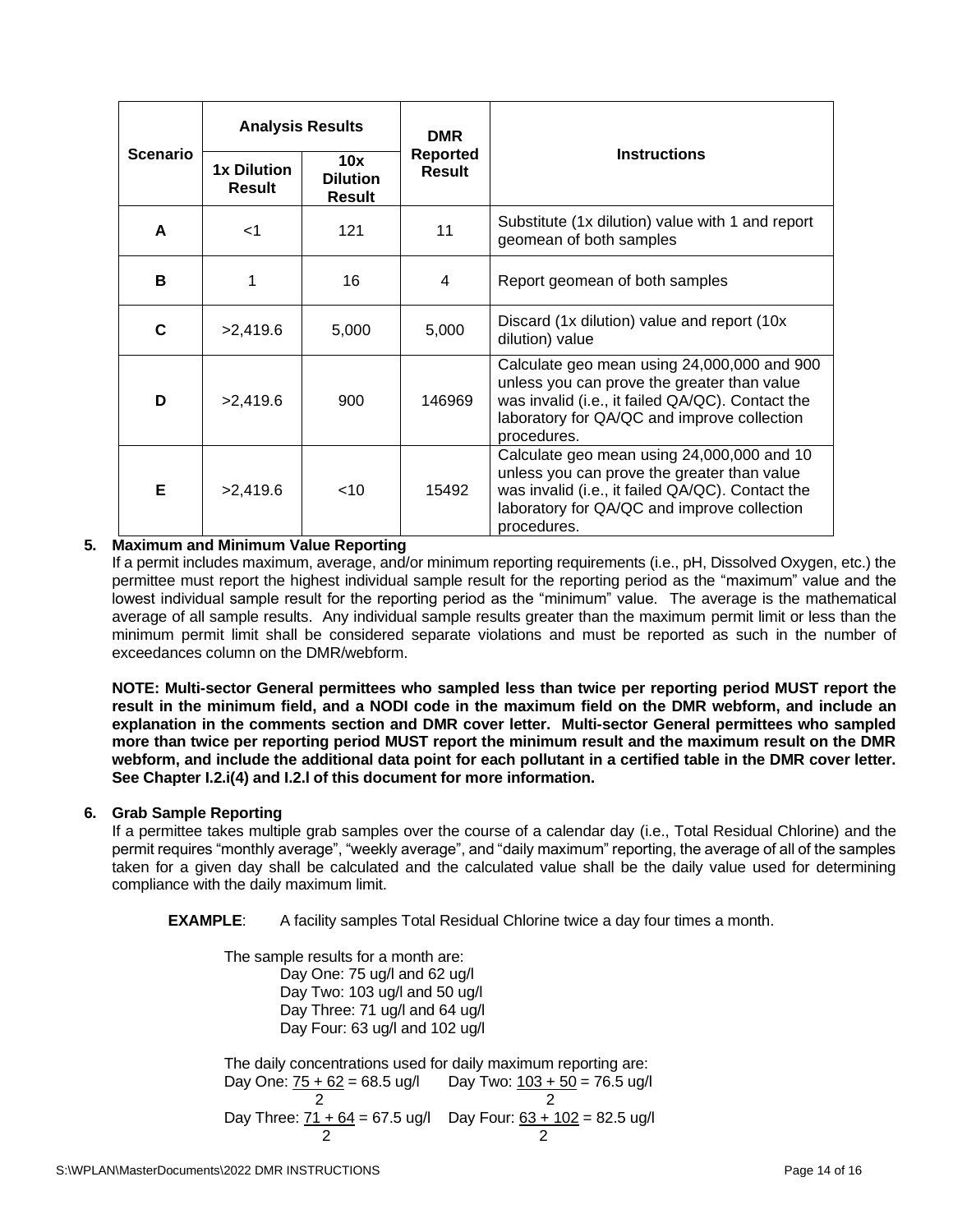|                 | <b>Analysis Results</b>             |                                         | <b>DMR</b>                       |                                                                                                                                                                                                              |  |
|-----------------|-------------------------------------|-----------------------------------------|----------------------------------|--------------------------------------------------------------------------------------------------------------------------------------------------------------------------------------------------------------|--|
| <b>Scenario</b> | <b>1x Dilution</b><br><b>Result</b> | 10x<br><b>Dilution</b><br><b>Result</b> | <b>Reported</b><br><b>Result</b> | <b>Instructions</b>                                                                                                                                                                                          |  |
| A               | $<$ 1                               | 121                                     | 11                               | Substitute (1x dilution) value with 1 and report<br>geomean of both samples                                                                                                                                  |  |
| B               |                                     | 16                                      | 4                                | Report geomean of both samples                                                                                                                                                                               |  |
| C               | >2,419.6                            | 5,000                                   | 5,000                            | Discard (1x dilution) value and report (10x<br>dilution) value                                                                                                                                               |  |
| D               | >2,419.6                            | 900                                     | 146969                           | Calculate geo mean using 24,000,000 and 900<br>unless you can prove the greater than value<br>was invalid (i.e., it failed QA/QC). Contact the<br>laboratory for QA/QC and improve collection<br>procedures. |  |
| Е               | >2,419.6                            | $<$ 10                                  | 15492                            | Calculate geo mean using 24,000,000 and 10<br>unless you can prove the greater than value<br>was invalid (i.e., it failed QA/QC). Contact the<br>laboratory for QA/QC and improve collection<br>procedures.  |  |

## **5. Maximum and Minimum Value Reporting**

If a permit includes maximum, average, and/or minimum reporting requirements (i.e., pH, Dissolved Oxygen, etc.) the permittee must report the highest individual sample result for the reporting period as the "maximum" value and the lowest individual sample result for the reporting period as the "minimum" value. The average is the mathematical average of all sample results. Any individual sample results greater than the maximum permit limit or less than the minimum permit limit shall be considered separate violations and must be reported as such in the number of exceedances column on the DMR/webform.

**NOTE: Multi-sector General permittees who sampled less than twice per reporting period MUST report the result in the minimum field, and a NODI code in the maximum field on the DMR webform, and include an explanation in the comments section and DMR cover letter. Multi-sector General permittees who sampled more than twice per reporting period MUST report the minimum result and the maximum result on the DMR webform, and include the additional data point for each pollutant in a certified table in the DMR cover letter. See Chapter I.2.i(4) and I.2.l of this document for more information.** 

## **6. Grab Sample Reporting**

If a permittee takes multiple grab samples over the course of a calendar day (i.e., Total Residual Chlorine) and the permit requires "monthly average", "weekly average", and "daily maximum" reporting, the average of all of the samples taken for a given day shall be calculated and the calculated value shall be the daily value used for determining compliance with the daily maximum limit.

**EXAMPLE**: A facility samples Total Residual Chlorine twice a day four times a month.

The sample results for a month are: Day One: 75 ug/l and 62 ug/l Day Two: 103 ug/l and 50 ug/l Day Three: 71 ug/l and 64 ug/l Day Four: 63 ug/l and 102 ug/l The daily concentrations used for daily maximum reporting are: Day One:  $75 + 62 = 68.5$  ug/l Day Two:  $103 + 50 = 76.5$  ug/l 2 2 Day Three:  $\frac{71 + 64}{ }$  = 67.5 ug/l Day Four:  $\frac{63 + 102}{ }$  = 82.5 ug/l 2 2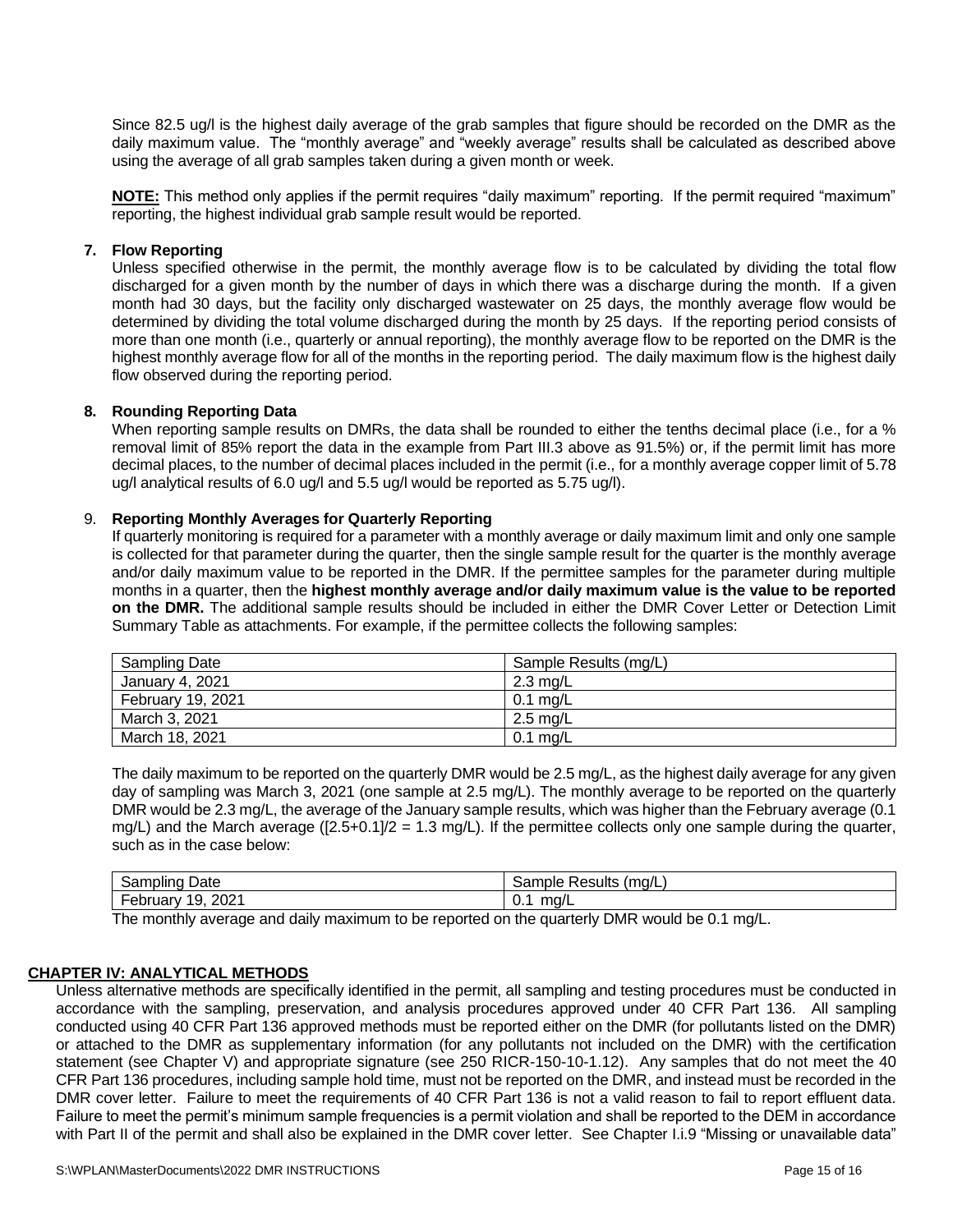Since 82.5 ug/l is the highest daily average of the grab samples that figure should be recorded on the DMR as the daily maximum value. The "monthly average" and "weekly average" results shall be calculated as described above using the average of all grab samples taken during a given month or week.

**NOTE:** This method only applies if the permit requires "daily maximum" reporting. If the permit required "maximum" reporting, the highest individual grab sample result would be reported.

#### **7. Flow Reporting**

Unless specified otherwise in the permit, the monthly average flow is to be calculated by dividing the total flow discharged for a given month by the number of days in which there was a discharge during the month. If a given month had 30 days, but the facility only discharged wastewater on 25 days, the monthly average flow would be determined by dividing the total volume discharged during the month by 25 days. If the reporting period consists of more than one month (i.e., quarterly or annual reporting), the monthly average flow to be reported on the DMR is the highest monthly average flow for all of the months in the reporting period. The daily maximum flow is the highest daily flow observed during the reporting period.

#### **8. Rounding Reporting Data**

When reporting sample results on DMRs, the data shall be rounded to either the tenths decimal place (i.e., for a % removal limit of 85% report the data in the example from Part III.3 above as 91.5%) or, if the permit limit has more decimal places, to the number of decimal places included in the permit (i.e., for a monthly average copper limit of 5.78 ug/l analytical results of 6.0 ug/l and 5.5 ug/l would be reported as 5.75 ug/l).

#### 9. **Reporting Monthly Averages for Quarterly Reporting**

If quarterly monitoring is required for a parameter with a monthly average or daily maximum limit and only one sample is collected for that parameter during the quarter, then the single sample result for the quarter is the monthly average and/or daily maximum value to be reported in the DMR. If the permittee samples for the parameter during multiple months in a quarter, then the **highest monthly average and/or daily maximum value is the value to be reported on the DMR.** The additional sample results should be included in either the DMR Cover Letter or Detection Limit Summary Table as attachments. For example, if the permittee collects the following samples:

| <b>Sampling Date</b> | Sample Results (mg/L) |
|----------------------|-----------------------|
| January 4, 2021      | $2.3 \text{ mg/L}$    |
| February 19, 2021    | $0.1 \text{ mg/L}$    |
| March 3, 2021        | 2.5 mg/L              |
| March 18, 2021       | $0.1$ mg/L            |

The daily maximum to be reported on the quarterly DMR would be 2.5 mg/L, as the highest daily average for any given day of sampling was March 3, 2021 (one sample at 2.5 mg/L). The monthly average to be reported on the quarterly DMR would be 2.3 mg/L, the average of the January sample results, which was higher than the February average (0.1 mg/L) and the March average  $([2.5+0.1]/2 = 1.3$  mg/L). If the permittee collects only one sample during the quarter, such as in the case below:

| ⊇ate                                              | `ample .      |
|---------------------------------------------------|---------------|
| San                                               | ≅ma/∟         |
| --                                                | ≀esults       |
| пршю                                              | Sar           |
| $\overline{\phantom{0}}$<br>2021<br>19<br>ebruary | ma/L<br>ັບ. . |

The monthly average and daily maximum to be reported on the quarterly DMR would be 0.1 mg/L.

#### **CHAPTER IV: ANALYTICAL METHODS**

Unless alternative methods are specifically identified in the permit, all sampling and testing procedures must be conducted in accordance with the sampling, preservation, and analysis procedures approved under 40 CFR Part 136. All sampling conducted using 40 CFR Part 136 approved methods must be reported either on the DMR (for pollutants listed on the DMR) or attached to the DMR as supplementary information (for any pollutants not included on the DMR) with the certification statement (see Chapter V) and appropriate signature (see 250 RICR-150-10-1.12). Any samples that do not meet the 40 CFR Part 136 procedures, including sample hold time, must not be reported on the DMR, and instead must be recorded in the DMR cover letter. Failure to meet the requirements of 40 CFR Part 136 is not a valid reason to fail to report effluent data. Failure to meet the permit's minimum sample frequencies is a permit violation and shall be reported to the DEM in accordance with Part II of the permit and shall also be explained in the DMR cover letter. See Chapter I.i.9 "Missing or unavailable data"